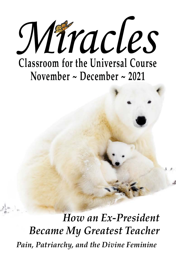

*How an Ex-President Became My Greatest Teacher Pain, Patriarchy, and the Divine Feminine*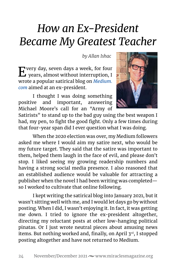## *How an Ex-President Became My Greatest Teacher*

*by Allan Ishac* 

Every day, seven days a week, for four years, almost without interruption, I wrote a popular satirical blog on *[Medium.](http://Medium.com) [com](http://Medium.com)* aimed at an ex-president.

I thought I was doing something positive and important, answering Michael Moore's call for an "Army of



Satirists" to stand up to the bad guy using the best weapon I had, my pen, to fight the good fight. Only a few times during that four-year span did I ever question what I was doing.

When the 2020 election was over, my Medium followers asked me where I would aim my satire next, who would be my future target. They said that the satire was important to them, helped them laugh in the face of evil, and please don't stop. I liked seeing my growing readership numbers and having a strong social media presence. I also reasoned that an established audience would be valuable for attracting a publisher when the novel I had been writing was completed so I worked to cultivate that online following.

I kept writing the satirical blog into January 2021, but it wasn't sitting well with me, and I would let days go by without posting. When I did, I wasn't enjoying it. In fact, it was getting me down. I tried to ignore the ex-president altogether, directing my reluctant posts at other low-hanging political pinatas. Or I just wrote neutral pieces about amusing news items. But nothing worked and, finally, on April 3rd, I stopped posting altogether and have not returned to Medium.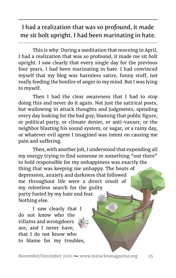I had a realization that was so profound, it made me sit bolt upright. I had been marinating in hate.

This is why: During a meditation that morning in April, I had a realization that was so profound, it made me sit bolt upright. I saw clearly that every single day for the previous four years, I had been marinating in hate. I had convinced myself that my blog was harmless satire, funny stuff, not really feeding the bonfire of anger in my mind. But I was lying to myself.

Then I had the clear awareness that I had to stop doing this and never do it again. Not just the satirical posts, but wallowing in attack thoughts and judgments, spending every day looking for the bad guy; blaming that public figure, or political party, or climate denier, or anti-vaxxer, or the neighbor blasting his sound system, or sugar, or a rainy day, or whatever evil agent I imagined was intent on causing me pain and suffering.

Then, with another jolt, I understood that expending all my energy trying to find someone or something "out there" to hold responsible for my unhappiness was exactly the thing that was keeping me unhappy. The bouts of depression, anxiety and darkness that followed me throughout life were a direct result of my relentless search for the guilty party fueled by my hate and fear. Nothing else.

I saw clearly that I do not know who the villains and wrongdoers are, and I never have; that I do not know who to blame for my troubles,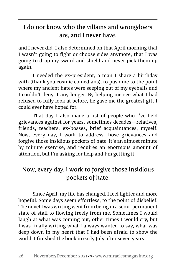## I do not know who the villains and wrongdoers are, and I never have.

and I never did. I also determined on that April morning that I wasn't going to fight or choose sides anymore, that I was going to drop my sword and shield and never pick them up again.

I needed the ex-president, a man I share a birthday with (thank you cosmic comedians), to push me to the point where my ancient hates were seeping out of my eyeballs and I couldn't deny it any longer. By helping me see what I had refused to fully look at before, he gave me the greatest gift I could ever have hoped for.

That day I also made a list of people who I've held grievances against for years, sometimes decades—relatives, friends, teachers, ex-bosses, brief acquaintances, myself. Now, every day, I work to address those grievances and forgive those insidious pockets of hate. It's an almost minute by minute exercise, and requires an enormous amount of attention, but I'm asking for help and I'm getting it.

## Now, every day, I work to forgive those insidious pockets of hate.

Since April, my life has changed. I feel lighter and more hopeful. Some days seem effortless, to the point of disbelief. The novel I was writing went from being in a semi-permanent state of stall to flowing freely from me. Sometimes I would laugh at what was coming out, other times I would cry, but I was finally writing what I always wanted to say, what was deep down in my heart that I had been afraid to show the world. I finished the book in early July after seven years.